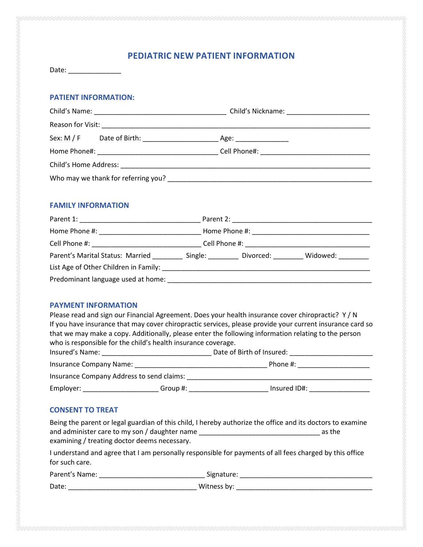## **PEDIATRIC NEW PATIENT INFORMATION**

| Date: |  |  |  |  |
|-------|--|--|--|--|
|       |  |  |  |  |

#### **PATIENT INFORMATION:**

| Sex: M / F                                                                                                                                                                                                                     |  |
|--------------------------------------------------------------------------------------------------------------------------------------------------------------------------------------------------------------------------------|--|
|                                                                                                                                                                                                                                |  |
|                                                                                                                                                                                                                                |  |
| Who may we thank for referring you? Notified that the control of the control of the control of the control of the control of the control of the control of the control of the control of the control of the control of the con |  |

### **FAMILY INFORMATION**

| Parent 1:                                                                                                       | Parent 2:             |           |          |
|-----------------------------------------------------------------------------------------------------------------|-----------------------|-----------|----------|
| Home Phone #: New York Phone #:                                                                                 |                       |           |          |
| Cell Phone #:                                                                                                   | Cell Phone #:         |           |          |
| Parent's Marital Status: Married                                                                                | Single: <b>Single</b> | Divorced: | Widowed: |
| List Age of Other Children in Family: North and the state of the state of the state of the state of the state o |                       |           |          |
| Predominant language used at home:                                                                              |                       |           |          |

### **PAYMENT INFORMATION**

| Please read and sign our Financial Agreement. Does your health insurance cover chiropractic? Y/N                                                                                                                                                                                                                                                                                                                                                                 |              |  |  |  |
|------------------------------------------------------------------------------------------------------------------------------------------------------------------------------------------------------------------------------------------------------------------------------------------------------------------------------------------------------------------------------------------------------------------------------------------------------------------|--------------|--|--|--|
| If you have insurance that may cover chiropractic services, please provide your current insurance card so                                                                                                                                                                                                                                                                                                                                                        |              |  |  |  |
| that we may make a copy. Additionally, please enter the following information relating to the person                                                                                                                                                                                                                                                                                                                                                             |              |  |  |  |
| who is responsible for the child's health insurance coverage.                                                                                                                                                                                                                                                                                                                                                                                                    |              |  |  |  |
| Insured's Name: Name: Name and South Assembly Management and Assembly Management and Assembly Management and Assembly<br>Date of Birth of Insured:                                                                                                                                                                                                                                                                                                               |              |  |  |  |
| Phone #:                                                                                                                                                                                                                                                                                                                                                                                                                                                         |              |  |  |  |
| Insurance Company Address to send claims:                                                                                                                                                                                                                                                                                                                                                                                                                        |              |  |  |  |
| Employer: North Management of the Second Second Second Second Second Second Second Second Second Second Second Second Second Second Second Second Second Second Second Second Second Second Second Second Second Second Second<br>Group #: the contract of the contract of the contract of the contract of the contract of the contract of the contract of the contract of the contract of the contract of the contract of the contract of the contract of the c | Insured ID#: |  |  |  |

### **CONSENT TO TREAT**

|                                               | Being the parent or legal guardian of this child, I hereby authorize the office and its doctors to examine |
|-----------------------------------------------|------------------------------------------------------------------------------------------------------------|
| and administer care to my son / daughter name | as the                                                                                                     |
| examining / treating doctor deems necessary.  |                                                                                                            |

I understand and agree that I am personally responsible for payments of all fees charged by this office for such care.

| Parent's Name: | Signature:  |
|----------------|-------------|
| Date:          | Witness by: |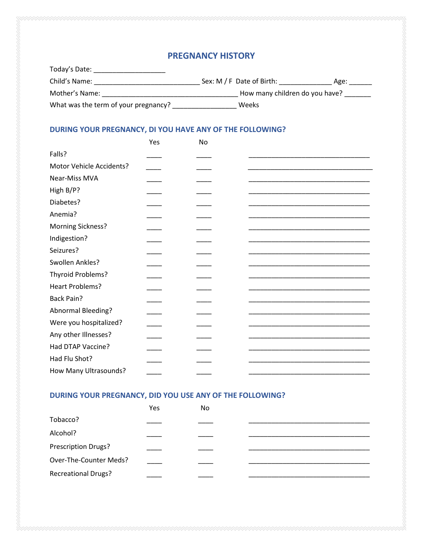# **PREGNANCY HISTORY**

| Today's Date:                        |                                |      |
|--------------------------------------|--------------------------------|------|
| Child's Name:                        | Sex: $M / F$ Date of Birth:    | Age: |
| Mother's Name:                       | How many children do you have? |      |
| What was the term of your pregnancy? | Weeks                          |      |

# **DURING YOUR PREGNANCY, DI YOU HAVE ANY OF THE FOLLOWING?**

|                          | Yes | No |  |
|--------------------------|-----|----|--|
| Falls?                   |     |    |  |
| Motor Vehicle Accidents? |     |    |  |
| Near-Miss MVA            |     |    |  |
| High B/P?                |     |    |  |
| Diabetes?                |     |    |  |
| Anemia?                  |     |    |  |
| <b>Morning Sickness?</b> |     |    |  |
| Indigestion?             |     |    |  |
| Seizures?                |     |    |  |
| Swollen Ankles?          |     |    |  |
| Thyroid Problems?        |     |    |  |
| Heart Problems?          |     |    |  |
| <b>Back Pain?</b>        |     |    |  |
| Abnormal Bleeding?       |     |    |  |
| Were you hospitalized?   |     |    |  |
| Any other Illnesses?     |     |    |  |
| Had DTAP Vaccine?        |     |    |  |
| Had Flu Shot?            |     |    |  |
| How Many Ultrasounds?    |     |    |  |

# **DURING YOUR PREGNANCY, DID YOU USE ANY OF THE FOLLOWING?**

|                            | Yes | No. |  |
|----------------------------|-----|-----|--|
| Tobacco?                   |     |     |  |
| Alcohol?                   |     |     |  |
| Prescription Drugs?        |     |     |  |
| Over-The-Counter Meds?     |     |     |  |
| <b>Recreational Drugs?</b> |     |     |  |
|                            |     |     |  |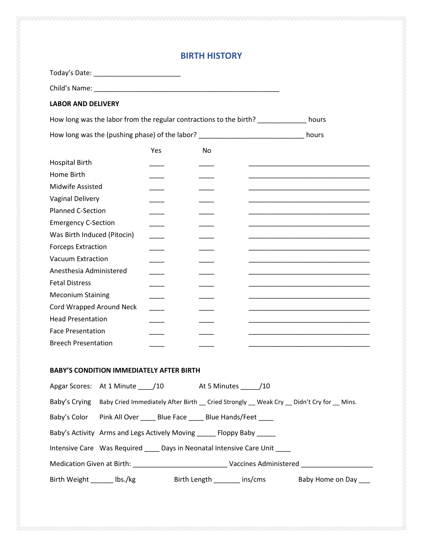# **BIRTH HISTORY**

| Today's Date: _____________________________                                                           |     |    |       |
|-------------------------------------------------------------------------------------------------------|-----|----|-------|
|                                                                                                       |     |    |       |
| <b>LABOR AND DELIVERY</b>                                                                             |     |    |       |
| How long was the labor from the regular contractions to the birth? ______________ hours               |     |    |       |
| How long was the (pushing phase) of the labor? _________________________________                      |     |    | hours |
|                                                                                                       | Yes | No |       |
| <b>Hospital Birth</b>                                                                                 |     |    |       |
| Home Birth                                                                                            |     |    |       |
| Midwife Assisted                                                                                      |     |    |       |
| Vaginal Delivery                                                                                      |     |    |       |
| <b>Planned C-Section</b>                                                                              |     |    |       |
| <b>Emergency C-Section</b>                                                                            |     |    |       |
| Was Birth Induced (Pitocin)                                                                           |     |    |       |
| <b>Forceps Extraction</b>                                                                             |     |    |       |
| <b>Vacuum Extraction</b>                                                                              |     |    |       |
| Anesthesia Administered                                                                               |     |    |       |
| <b>Fetal Distress</b>                                                                                 |     |    |       |
| <b>Meconium Staining</b>                                                                              |     |    |       |
| Cord Wrapped Around Neck                                                                              |     |    |       |
| <b>Head Presentation</b>                                                                              |     |    |       |
| <b>Face Presentation</b>                                                                              |     |    |       |
| <b>Breech Presentation</b>                                                                            |     |    |       |
| <b>BABY'S CONDITION IMMEDIATELY AFTER BIRTH</b>                                                       |     |    |       |
| Apgar Scores: At 1 Minute ____/10 At 5 Minutes _____/10                                               |     |    |       |
| Baby's Crying Baby Cried Immediately After Birth _ Cried Strongly _ Weak Cry _ Didn't Cry for _ Mins. |     |    |       |
| Baby's Color Pink All Over _____ Blue Face _____ Blue Hands/Feet ____                                 |     |    |       |
| Baby's Activity Arms and Legs Actively Moving ______ Floppy Baby _____                                |     |    |       |
| Intensive Care Was Required _____ Days in Neonatal Intensive Care Unit                                |     |    |       |
|                                                                                                       |     |    |       |
| Birth Weight _______ lbs./kg      Birth Length ________ ins/cms     Baby Home on Day ___              |     |    |       |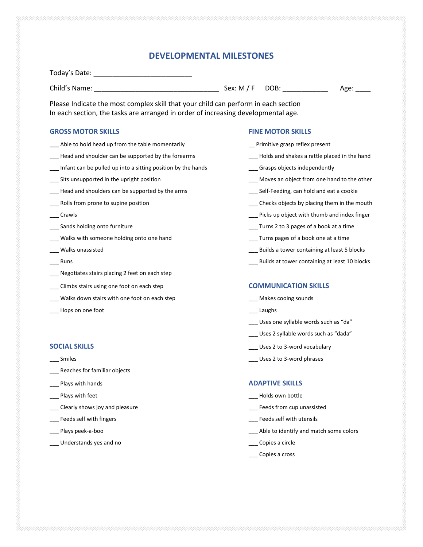## **DEVELOPMENTAL MILESTONES**

Today's Date: \_\_\_\_\_\_\_\_\_\_\_\_\_\_\_\_\_\_\_\_\_\_\_\_\_\_

Child's Name: \_\_\_\_\_\_\_\_\_\_\_\_\_\_\_\_\_\_\_\_\_\_\_\_\_\_\_\_\_\_\_\_\_ Sex: M / F DOB: \_\_\_\_\_\_\_\_\_\_\_\_ Age: \_\_\_\_

Please Indicate the most complex skill that your child can perform in each section In each section, the tasks are arranged in order of increasing developmental age.

#### **GROSS MOTOR SKILLS FINE MOTOR SKILLS**

- **\_\_\_** Able to hold head up from the table momentarily \_\_ Primitive grasp reflex present
- \_\_\_ Head and shoulder can be supported by the forearms \_\_\_ Holds and shakes a rattle placed in the hand
- Infant can be pulled up into a sitting position by the hands \_\_\_\_\_\_\_\_\_\_\_\_\_\_\_\_\_\_Grasps objects independently
- 
- exteed and shoulders can be supported by the arms **we are all assets the Self-Feeding**, can hold and eat a cookie
- 
- 
- 
- \_\_\_ Walks with someone holding onto one hand \_\_\_ Turns pages of a book one at a time
- 
- 
- Negotiates stairs placing 2 feet on each step
- \_\_\_ Climbs stairs using one foot on each step **COMMUNICATION SKILLS**
- \_\_\_ Walks down stairs with one foot on each step \_\_\_ Makes cooing sounds
- \_\_\_ Hops on one foot \_\_\_ Laughs

- 
- \_\_\_ Reaches for familiar objects
- 
- 
- \_\_\_ Clearly shows joy and pleasure \_\_\_ Feeds from cup unassisted
- 
- 
- Understands yes and no **Exercise 2** and no **Copies a circle** and  $\alpha$  Copies a circle

- 
- 
- 
- Sits unsupported in the upright position example and the other control of the other states of the other states of the other control of the other states of the other control of the other control of the other control of the
	-
- Let Rolls from prone to supine position the mouth the mouth and the mouth control of the mouth of  $\sim$  Checks objects by placing them in the mouth
- \_\_\_ Crawls \_\_\_ Picks up object with thumb and index finger
- Let Sands holding onto furniture and the same state of the same of the Sands of a book at a time of  $\sim$  Turns 2 to 3 pages of a book at a time
	-
- \_\_ Walks unassisted **being a to a set of the set of the set of the set of the set of the set of the set of the set of the set of the set of the set of the set of the set of the set of the set of the set of the set of the s**
- \_\_\_ Runs \_\_\_ Builds at tower containing at least 10 blocks

- 
- 
- Uses one syllable words such as "da"
- \_\_\_ Uses 2 syllable words such as "dada"
- **SOCIAL SKILLS SOCIAL SKILLS Letter COLLECT 2** Uses 2 to 3-word vocabulary
	- examples the state of the state of the state of the state of the state of the Uses 2 to 3-word phrases of the state of the state of the state of the state of the state of the state of the state of the state of the state of

#### **Plays with hands ADAPTIVE SKILLS**

- \_\_\_ Plays with feet \_\_\_ Holds own bottle
	-
- \_\_\_ Feeds self with fingers \_\_\_ Feeds self with utensils
- \_\_\_ Plays peek-a-boo \_\_\_ Able to identify and match some colors
	-
	- \_\_\_ Copies a cross